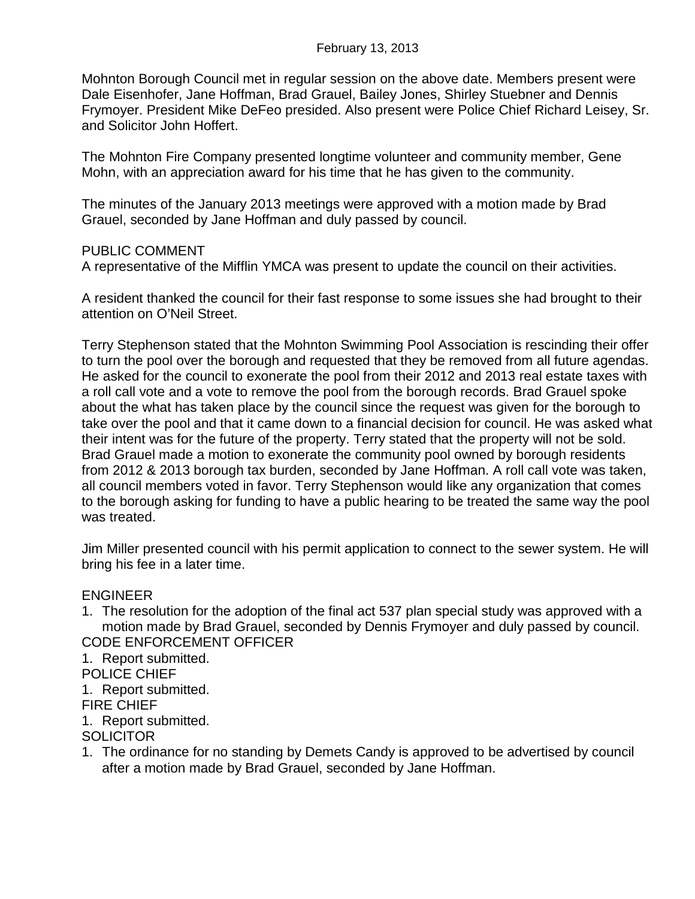Mohnton Borough Council met in regular session on the above date. Members present were Dale Eisenhofer, Jane Hoffman, Brad Grauel, Bailey Jones, Shirley Stuebner and Dennis Frymoyer. President Mike DeFeo presided. Also present were Police Chief Richard Leisey, Sr. and Solicitor John Hoffert.

The Mohnton Fire Company presented longtime volunteer and community member, Gene Mohn, with an appreciation award for his time that he has given to the community.

The minutes of the January 2013 meetings were approved with a motion made by Brad Grauel, seconded by Jane Hoffman and duly passed by council.

## PUBLIC COMMENT

A representative of the Mifflin YMCA was present to update the council on their activities.

A resident thanked the council for their fast response to some issues she had brought to their attention on O'Neil Street.

Terry Stephenson stated that the Mohnton Swimming Pool Association is rescinding their offer to turn the pool over the borough and requested that they be removed from all future agendas. He asked for the council to exonerate the pool from their 2012 and 2013 real estate taxes with a roll call vote and a vote to remove the pool from the borough records. Brad Grauel spoke about the what has taken place by the council since the request was given for the borough to take over the pool and that it came down to a financial decision for council. He was asked what their intent was for the future of the property. Terry stated that the property will not be sold. Brad Grauel made a motion to exonerate the community pool owned by borough residents from 2012 & 2013 borough tax burden, seconded by Jane Hoffman. A roll call vote was taken, all council members voted in favor. Terry Stephenson would like any organization that comes to the borough asking for funding to have a public hearing to be treated the same way the pool was treated.

Jim Miller presented council with his permit application to connect to the sewer system. He will bring his fee in a later time.

## ENGINEER

1. The resolution for the adoption of the final act 537 plan special study was approved with a motion made by Brad Grauel, seconded by Dennis Frymoyer and duly passed by council. CODE ENFORCEMENT OFFICER

1. Report submitted.

POLICE CHIEF

1. Report submitted.

FIRE CHIEF

1. Report submitted.

## **SOLICITOR**

1. The ordinance for no standing by Demets Candy is approved to be advertised by council after a motion made by Brad Grauel, seconded by Jane Hoffman.